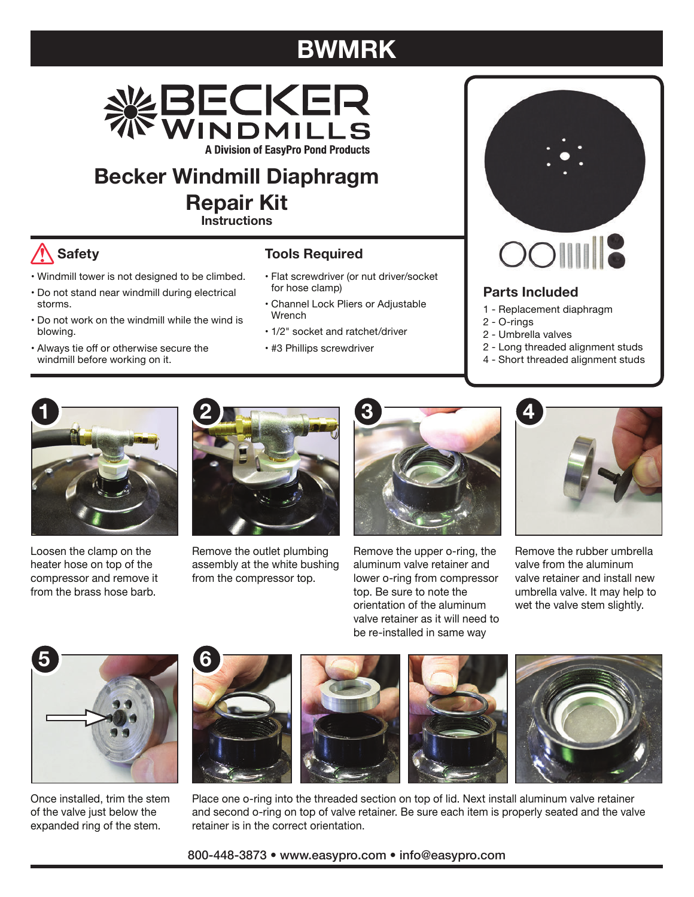## **BWMRK**



**Becker Windmill Diaphragm Repair Kit**

**Instructions**

## **Safety**

- Windmill tower is not designed to be climbed.
- Do not stand near windmill during electrical storms.
- Do not work on the windmill while the wind is blowing.
- Always tie off or otherwise secure the windmill before working on it.

## **Tools Required**

- Flat screwdriver (or nut driver/socket for hose clamp)
- Channel Lock Pliers or Adjustable Wrench
- 1/2" socket and ratchet/driver
- #3 Phillips screwdriver



## **Parts Included**

- 1 Replacement diaphragm
- 2 O-rings
- 2 Umbrella valves
- 2 Long threaded alignment studs
- 4 Short threaded alignment studs



Loosen the clamp on the heater hose on top of the compressor and remove it from the brass hose barb.



Remove the outlet plumbing assembly at the white bushing from the compressor top.



Remove the upper o-ring, the aluminum valve retainer and lower o-ring from compressor top. Be sure to note the orientation of the aluminum valve retainer as it will need to be re-installed in same way



Remove the rubber umbrella valve from the aluminum valve retainer and install new umbrella valve. It may help to wet the valve stem slightly.



Once installed, trim the stem of the valve just below the expanded ring of the stem.









Place one o-ring into the threaded section on top of lid. Next install aluminum valve retainer and second o-ring on top of valve retainer. Be sure each item is properly seated and the valve retainer is in the correct orientation.

800-448-3873 • www.easypro.com • info@easypro.com